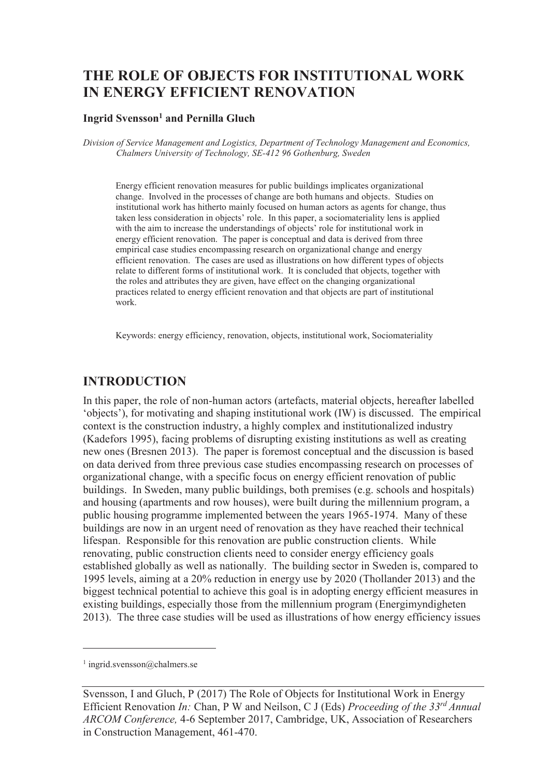# **THE ROLE OF OBJECTS FOR INSTITUTIONAL WORK IN ENERGY EFFICIENT RENOVATION**

#### **Ingrid Svensson<sup>1</sup> and Pernilla Gluch**

*Division of Service Management and Logistics, Department of Technology Management and Economics, Chalmers University of Technology, SE-412 96 Gothenburg, Sweden* 

Energy efficient renovation measures for public buildings implicates organizational change. Involved in the processes of change are both humans and objects. Studies on institutional work has hitherto mainly focused on human actors as agents for change, thus taken less consideration in objects' role. In this paper, a sociomateriality lens is applied with the aim to increase the understandings of objects' role for institutional work in energy efficient renovation. The paper is conceptual and data is derived from three empirical case studies encompassing research on organizational change and energy efficient renovation. The cases are used as illustrations on how different types of objects relate to different forms of institutional work. It is concluded that objects, together with the roles and attributes they are given, have effect on the changing organizational practices related to energy efficient renovation and that objects are part of institutional work.

Keywords: energy efficiency, renovation, objects, institutional work, Sociomateriality

#### **INTRODUCTION**

In this paper, the role of non-human actors (artefacts, material objects, hereafter labelled 'objects'), for motivating and shaping institutional work (IW) is discussed. The empirical context is the construction industry, a highly complex and institutionalized industry (Kadefors 1995), facing problems of disrupting existing institutions as well as creating new ones (Bresnen 2013). The paper is foremost conceptual and the discussion is based on data derived from three previous case studies encompassing research on processes of organizational change, with a specific focus on energy efficient renovation of public buildings. In Sweden, many public buildings, both premises (e.g. schools and hospitals) and housing (apartments and row houses), were built during the millennium program, a public housing programme implemented between the years 1965-1974. Many of these buildings are now in an urgent need of renovation as they have reached their technical lifespan. Responsible for this renovation are public construction clients. While renovating, public construction clients need to consider energy efficiency goals established globally as well as nationally. The building sector in Sweden is, compared to 1995 levels, aiming at a 20% reduction in energy use by 2020 (Thollander 2013) and the biggest technical potential to achieve this goal is in adopting energy efficient measures in existing buildings, especially those from the millennium program (Energimyndigheten 2013). The three case studies will be used as illustrations of how energy efficiency issues

-

<sup>1</sup> ingrid.svensson@chalmers.se

Svensson, I and Gluch, P (2017) The Role of Objects for Institutional Work in Energy Efficient Renovation *In:* Chan, P W and Neilson, C J (Eds) *Proceeding of the 33rd Annual ARCOM Conference,* 4-6 September 2017, Cambridge, UK, Association of Researchers in Construction Management, 461-470.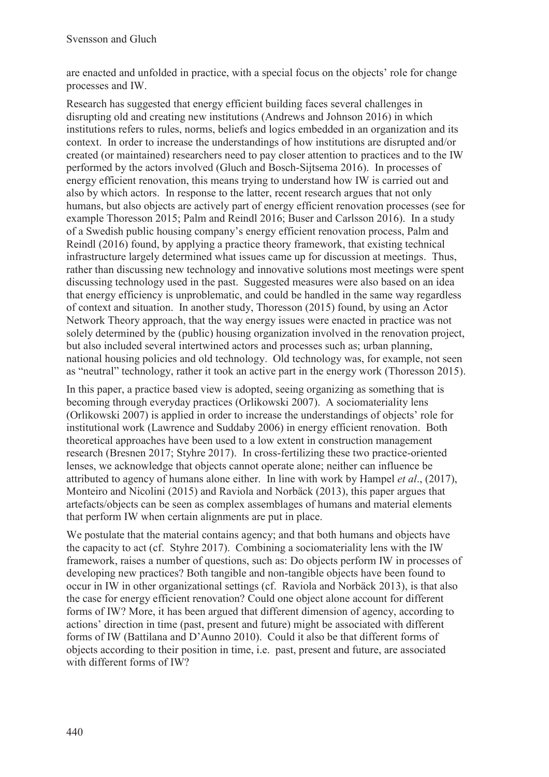are enacted and unfolded in practice, with a special focus on the objects' role for change processes and IW.

Research has suggested that energy efficient building faces several challenges in disrupting old and creating new institutions (Andrews and Johnson 2016) in which institutions refers to rules, norms, beliefs and logics embedded in an organization and its context. In order to increase the understandings of how institutions are disrupted and/or created (or maintained) researchers need to pay closer attention to practices and to the IW performed by the actors involved (Gluch and Bosch-Sijtsema 2016). In processes of energy efficient renovation, this means trying to understand how IW is carried out and also by which actors. In response to the latter, recent research argues that not only humans, but also objects are actively part of energy efficient renovation processes (see for example Thoresson 2015; Palm and Reindl 2016; Buser and Carlsson 2016). In a study of a Swedish public housing company's energy efficient renovation process, Palm and Reindl (2016) found, by applying a practice theory framework, that existing technical infrastructure largely determined what issues came up for discussion at meetings. Thus, rather than discussing new technology and innovative solutions most meetings were spent discussing technology used in the past. Suggested measures were also based on an idea that energy efficiency is unproblematic, and could be handled in the same way regardless of context and situation. In another study, Thoresson (2015) found, by using an Actor Network Theory approach, that the way energy issues were enacted in practice was not solely determined by the (public) housing organization involved in the renovation project, but also included several intertwined actors and processes such as; urban planning, national housing policies and old technology. Old technology was, for example, not seen as "neutral" technology, rather it took an active part in the energy work (Thoresson 2015).

In this paper, a practice based view is adopted, seeing organizing as something that is becoming through everyday practices (Orlikowski 2007). A sociomateriality lens (Orlikowski 2007) is applied in order to increase the understandings of objects' role for institutional work (Lawrence and Suddaby 2006) in energy efficient renovation. Both theoretical approaches have been used to a low extent in construction management research (Bresnen 2017; Styhre 2017). In cross-fertilizing these two practice-oriented lenses, we acknowledge that objects cannot operate alone; neither can influence be attributed to agency of humans alone either. In line with work by Hampel *et al*., (2017), Monteiro and Nicolini (2015) and Raviola and Norbäck (2013), this paper argues that artefacts/objects can be seen as complex assemblages of humans and material elements that perform IW when certain alignments are put in place.

We postulate that the material contains agency; and that both humans and objects have the capacity to act (cf. Styhre 2017). Combining a sociomateriality lens with the IW framework, raises a number of questions, such as: Do objects perform IW in processes of developing new practices? Both tangible and non-tangible objects have been found to occur in IW in other organizational settings (cf. Raviola and Norbäck 2013), is that also the case for energy efficient renovation? Could one object alone account for different forms of IW? More, it has been argued that different dimension of agency, according to actions' direction in time (past, present and future) might be associated with different forms of IW (Battilana and D'Aunno 2010). Could it also be that different forms of objects according to their position in time, i.e. past, present and future, are associated with different forms of IW?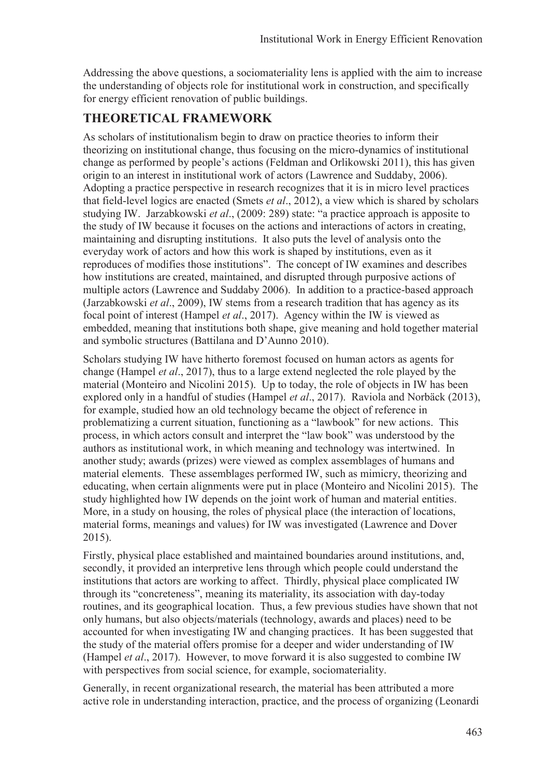Addressing the above questions, a sociomateriality lens is applied with the aim to increase the understanding of objects role for institutional work in construction, and specifically for energy efficient renovation of public buildings.

## **THEORETICAL FRAMEWORK**

As scholars of institutionalism begin to draw on practice theories to inform their theorizing on institutional change, thus focusing on the micro-dynamics of institutional change as performed by people's actions (Feldman and Orlikowski 2011), this has given origin to an interest in institutional work of actors (Lawrence and Suddaby, 2006). Adopting a practice perspective in research recognizes that it is in micro level practices that field-level logics are enacted (Smets *et al*., 2012), a view which is shared by scholars studying IW. Jarzabkowski *et al*., (2009: 289) state: "a practice approach is apposite to the study of IW because it focuses on the actions and interactions of actors in creating, maintaining and disrupting institutions. It also puts the level of analysis onto the everyday work of actors and how this work is shaped by institutions, even as it reproduces of modifies those institutions". The concept of IW examines and describes how institutions are created, maintained, and disrupted through purposive actions of multiple actors (Lawrence and Suddaby 2006). In addition to a practice-based approach (Jarzabkowski *et al*., 2009), IW stems from a research tradition that has agency as its focal point of interest (Hampel *et al*., 2017). Agency within the IW is viewed as embedded, meaning that institutions both shape, give meaning and hold together material and symbolic structures (Battilana and D'Aunno 2010).

Scholars studying IW have hitherto foremost focused on human actors as agents for change (Hampel *et al*., 2017), thus to a large extend neglected the role played by the material (Monteiro and Nicolini 2015). Up to today, the role of objects in IW has been explored only in a handful of studies (Hampel *et al*., 2017). Raviola and Norbäck (2013), for example, studied how an old technology became the object of reference in problematizing a current situation, functioning as a "lawbook" for new actions. This process, in which actors consult and interpret the "law book" was understood by the authors as institutional work, in which meaning and technology was intertwined. In another study; awards (prizes) were viewed as complex assemblages of humans and material elements. These assemblages performed IW, such as mimicry, theorizing and educating, when certain alignments were put in place (Monteiro and Nicolini 2015). The study highlighted how IW depends on the joint work of human and material entities. More, in a study on housing, the roles of physical place (the interaction of locations, material forms, meanings and values) for IW was investigated (Lawrence and Dover 2015).

Firstly, physical place established and maintained boundaries around institutions, and, secondly, it provided an interpretive lens through which people could understand the institutions that actors are working to affect. Thirdly, physical place complicated IW through its "concreteness", meaning its materiality, its association with day-today routines, and its geographical location. Thus, a few previous studies have shown that not only humans, but also objects/materials (technology, awards and places) need to be accounted for when investigating IW and changing practices. It has been suggested that the study of the material offers promise for a deeper and wider understanding of IW (Hampel *et al*., 2017). However, to move forward it is also suggested to combine IW with perspectives from social science, for example, sociomateriality.

Generally, in recent organizational research, the material has been attributed a more active role in understanding interaction, practice, and the process of organizing (Leonardi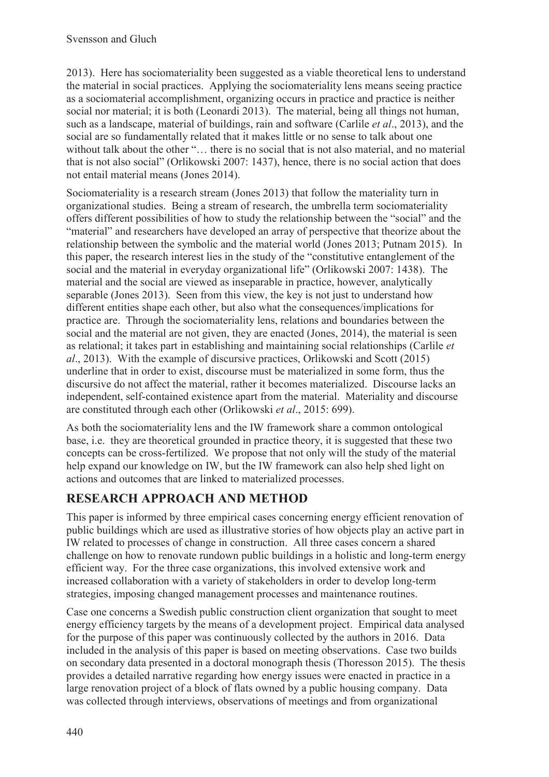2013). Here has sociomateriality been suggested as a viable theoretical lens to understand the material in social practices. Applying the sociomateriality lens means seeing practice as a sociomaterial accomplishment, organizing occurs in practice and practice is neither social nor material; it is both (Leonardi 2013). The material, being all things not human, such as a landscape, material of buildings, rain and software (Carlile *et al*., 2013), and the social are so fundamentally related that it makes little or no sense to talk about one without talk about the other "... there is no social that is not also material, and no material that is not also social" (Orlikowski 2007: 1437), hence, there is no social action that does not entail material means (Jones 2014).

Sociomateriality is a research stream (Jones 2013) that follow the materiality turn in organizational studies. Being a stream of research, the umbrella term sociomateriality offers different possibilities of how to study the relationship between the "social" and the "material" and researchers have developed an array of perspective that theorize about the relationship between the symbolic and the material world (Jones 2013; Putnam 2015). In this paper, the research interest lies in the study of the "constitutive entanglement of the social and the material in everyday organizational life" (Orlikowski 2007: 1438). The material and the social are viewed as inseparable in practice, however, analytically separable (Jones 2013). Seen from this view, the key is not just to understand how different entities shape each other, but also what the consequences/implications for practice are. Through the sociomateriality lens, relations and boundaries between the social and the material are not given, they are enacted (Jones, 2014), the material is seen as relational; it takes part in establishing and maintaining social relationships (Carlile *et al*., 2013). With the example of discursive practices, Orlikowski and Scott (2015) underline that in order to exist, discourse must be materialized in some form, thus the discursive do not affect the material, rather it becomes materialized. Discourse lacks an independent, self-contained existence apart from the material. Materiality and discourse are constituted through each other (Orlikowski *et al*., 2015: 699).

As both the sociomateriality lens and the IW framework share a common ontological base, i.e. they are theoretical grounded in practice theory, it is suggested that these two concepts can be cross-fertilized. We propose that not only will the study of the material help expand our knowledge on IW, but the IW framework can also help shed light on actions and outcomes that are linked to materialized processes.

## **RESEARCH APPROACH AND METHOD**

This paper is informed by three empirical cases concerning energy efficient renovation of public buildings which are used as illustrative stories of how objects play an active part in IW related to processes of change in construction. All three cases concern a shared challenge on how to renovate rundown public buildings in a holistic and long-term energy efficient way. For the three case organizations, this involved extensive work and increased collaboration with a variety of stakeholders in order to develop long-term strategies, imposing changed management processes and maintenance routines.

Case one concerns a Swedish public construction client organization that sought to meet energy efficiency targets by the means of a development project. Empirical data analysed for the purpose of this paper was continuously collected by the authors in 2016. Data included in the analysis of this paper is based on meeting observations. Case two builds on secondary data presented in a doctoral monograph thesis (Thoresson 2015). The thesis provides a detailed narrative regarding how energy issues were enacted in practice in a large renovation project of a block of flats owned by a public housing company. Data was collected through interviews, observations of meetings and from organizational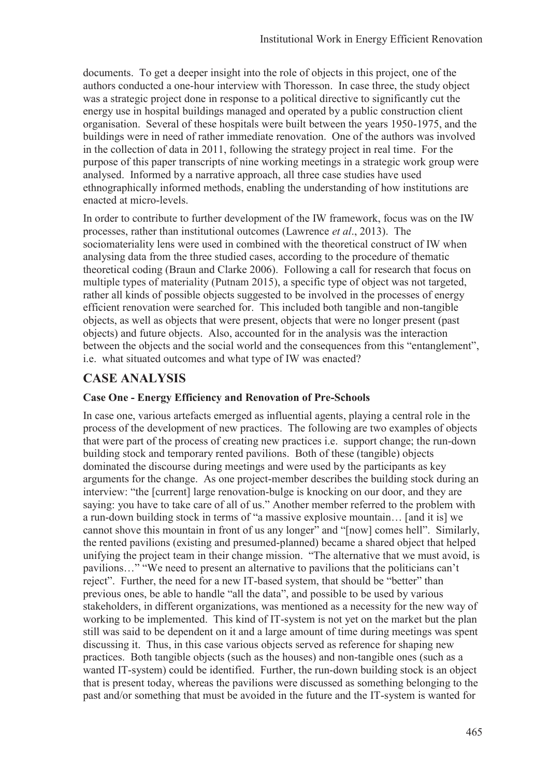documents. To get a deeper insight into the role of objects in this project, one of the authors conducted a one-hour interview with Thoresson. In case three, the study object was a strategic project done in response to a political directive to significantly cut the energy use in hospital buildings managed and operated by a public construction client organisation. Several of these hospitals were built between the years 1950-1975, and the buildings were in need of rather immediate renovation. One of the authors was involved in the collection of data in 2011, following the strategy project in real time. For the purpose of this paper transcripts of nine working meetings in a strategic work group were analysed. Informed by a narrative approach, all three case studies have used ethnographically informed methods, enabling the understanding of how institutions are enacted at micro-levels.

In order to contribute to further development of the IW framework, focus was on the IW processes, rather than institutional outcomes (Lawrence *et al*., 2013). The sociomateriality lens were used in combined with the theoretical construct of IW when analysing data from the three studied cases, according to the procedure of thematic theoretical coding (Braun and Clarke 2006). Following a call for research that focus on multiple types of materiality (Putnam 2015), a specific type of object was not targeted, rather all kinds of possible objects suggested to be involved in the processes of energy efficient renovation were searched for. This included both tangible and non-tangible objects, as well as objects that were present, objects that were no longer present (past objects) and future objects. Also, accounted for in the analysis was the interaction between the objects and the social world and the consequences from this "entanglement", i.e. what situated outcomes and what type of IW was enacted?

### **CASE ANALYSIS**

#### **Case One - Energy Efficiency and Renovation of Pre-Schools**

In case one, various artefacts emerged as influential agents, playing a central role in the process of the development of new practices. The following are two examples of objects that were part of the process of creating new practices i.e. support change; the run-down building stock and temporary rented pavilions. Both of these (tangible) objects dominated the discourse during meetings and were used by the participants as key arguments for the change. As one project-member describes the building stock during an interview: "the [current] large renovation-bulge is knocking on our door, and they are saying: you have to take care of all of us." Another member referred to the problem with a run-down building stock in terms of "a massive explosive mountain… [and it is] we cannot shove this mountain in front of us any longer" and "[now] comes hell". Similarly, the rented pavilions (existing and presumed-planned) became a shared object that helped unifying the project team in their change mission. "The alternative that we must avoid, is pavilions…" "We need to present an alternative to pavilions that the politicians can't reject". Further, the need for a new IT-based system, that should be "better" than previous ones, be able to handle "all the data", and possible to be used by various stakeholders, in different organizations, was mentioned as a necessity for the new way of working to be implemented. This kind of IT-system is not yet on the market but the plan still was said to be dependent on it and a large amount of time during meetings was spent discussing it. Thus, in this case various objects served as reference for shaping new practices. Both tangible objects (such as the houses) and non-tangible ones (such as a wanted IT-system) could be identified. Further, the run-down building stock is an object that is present today, whereas the pavilions were discussed as something belonging to the past and/or something that must be avoided in the future and the IT-system is wanted for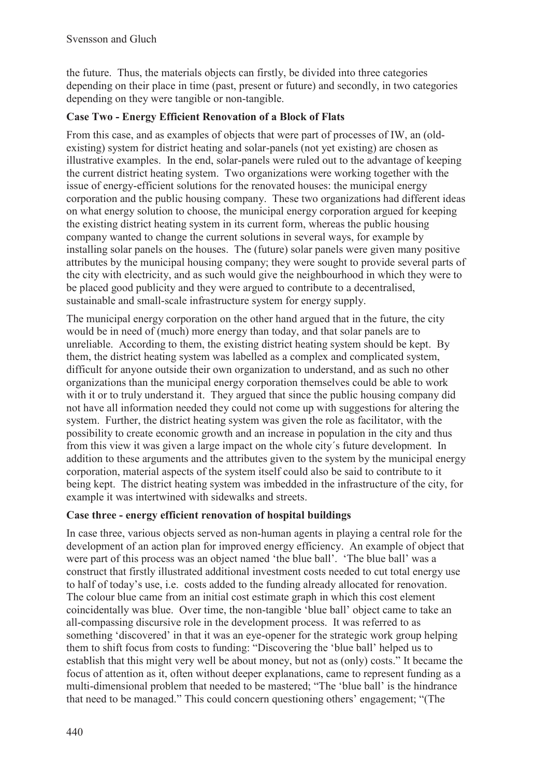the future. Thus, the materials objects can firstly, be divided into three categories depending on their place in time (past, present or future) and secondly, in two categories depending on they were tangible or non-tangible.

#### **Case Two - Energy Efficient Renovation of a Block of Flats**

From this case, and as examples of objects that were part of processes of IW, an (oldexisting) system for district heating and solar-panels (not yet existing) are chosen as illustrative examples. In the end, solar-panels were ruled out to the advantage of keeping the current district heating system. Two organizations were working together with the issue of energy-efficient solutions for the renovated houses: the municipal energy corporation and the public housing company. These two organizations had different ideas on what energy solution to choose, the municipal energy corporation argued for keeping the existing district heating system in its current form, whereas the public housing company wanted to change the current solutions in several ways, for example by installing solar panels on the houses. The (future) solar panels were given many positive attributes by the municipal housing company; they were sought to provide several parts of the city with electricity, and as such would give the neighbourhood in which they were to be placed good publicity and they were argued to contribute to a decentralised, sustainable and small-scale infrastructure system for energy supply.

The municipal energy corporation on the other hand argued that in the future, the city would be in need of (much) more energy than today, and that solar panels are to unreliable. According to them, the existing district heating system should be kept. By them, the district heating system was labelled as a complex and complicated system, difficult for anyone outside their own organization to understand, and as such no other organizations than the municipal energy corporation themselves could be able to work with it or to truly understand it. They argued that since the public housing company did not have all information needed they could not come up with suggestions for altering the system. Further, the district heating system was given the role as facilitator, with the possibility to create economic growth and an increase in population in the city and thus from this view it was given a large impact on the whole city´s future development. In addition to these arguments and the attributes given to the system by the municipal energy corporation, material aspects of the system itself could also be said to contribute to it being kept. The district heating system was imbedded in the infrastructure of the city, for example it was intertwined with sidewalks and streets.

### **Case three - energy efficient renovation of hospital buildings**

In case three, various objects served as non-human agents in playing a central role for the development of an action plan for improved energy efficiency. An example of object that were part of this process was an object named 'the blue ball'. 'The blue ball' was a construct that firstly illustrated additional investment costs needed to cut total energy use to half of today's use, i.e. costs added to the funding already allocated for renovation. The colour blue came from an initial cost estimate graph in which this cost element coincidentally was blue. Over time, the non-tangible 'blue ball' object came to take an all-compassing discursive role in the development process. It was referred to as something 'discovered' in that it was an eye-opener for the strategic work group helping them to shift focus from costs to funding: "Discovering the 'blue ball' helped us to establish that this might very well be about money, but not as (only) costs." It became the focus of attention as it, often without deeper explanations, came to represent funding as a multi-dimensional problem that needed to be mastered; "The 'blue ball' is the hindrance that need to be managed." This could concern questioning others' engagement; "(The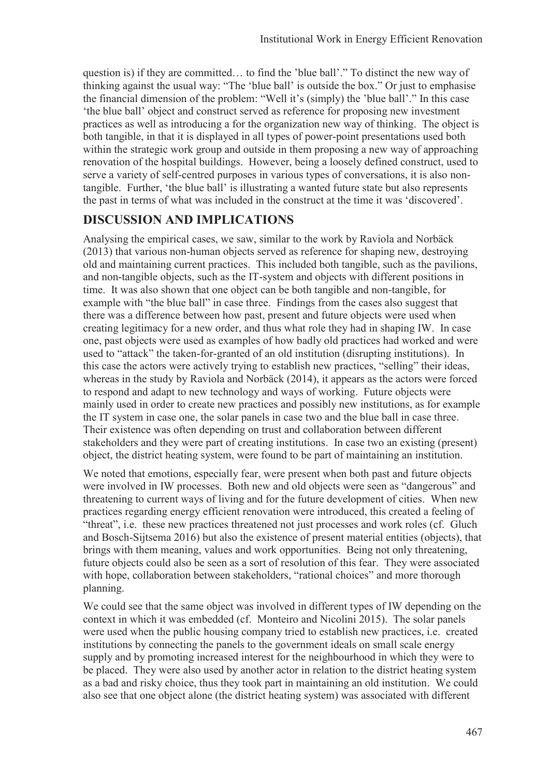question is) if they are committed… to find the 'blue ball'." To distinct the new way of thinking against the usual way: "The 'blue ball' is outside the box." Or just to emphasise the financial dimension of the problem: "Well it's (simply) the 'blue ball'." In this case 'the blue ball' object and construct served as reference for proposing new investment practices as well as introducing a for the organization new way of thinking. The object is both tangible, in that it is displayed in all types of power-point presentations used both within the strategic work group and outside in them proposing a new way of approaching renovation of the hospital buildings. However, being a loosely defined construct, used to serve a variety of self-centred purposes in various types of conversations, it is also nontangible. Further, 'the blue ball' is illustrating a wanted future state but also represents the past in terms of what was included in the construct at the time it was 'discovered'.

## **DISCUSSION AND IMPLICATIONS**

Analysing the empirical cases, we saw, similar to the work by Raviola and Norbäck (2013) that various non-human objects served as reference for shaping new, destroying old and maintaining current practices. This included both tangible, such as the pavilions, and non-tangible objects, such as the IT-system and objects with different positions in time. It was also shown that one object can be both tangible and non-tangible, for example with "the blue ball" in case three. Findings from the cases also suggest that there was a difference between how past, present and future objects were used when creating legitimacy for a new order, and thus what role they had in shaping IW. In case one, past objects were used as examples of how badly old practices had worked and were used to "attack" the taken-for-granted of an old institution (disrupting institutions). In this case the actors were actively trying to establish new practices, "selling" their ideas, whereas in the study by Raviola and Norbäck (2014), it appears as the actors were forced to respond and adapt to new technology and ways of working. Future objects were mainly used in order to create new practices and possibly new institutions, as for example the IT system in case one, the solar panels in case two and the blue ball in case three. Their existence was often depending on trust and collaboration between different stakeholders and they were part of creating institutions. In case two an existing (present) object, the district heating system, were found to be part of maintaining an institution.

We noted that emotions, especially fear, were present when both past and future objects were involved in IW processes. Both new and old objects were seen as "dangerous" and threatening to current ways of living and for the future development of cities. When new practices regarding energy efficient renovation were introduced, this created a feeling of "threat", i.e. these new practices threatened not just processes and work roles (cf. Gluch and Bosch-Sijtsema 2016) but also the existence of present material entities (objects), that brings with them meaning, values and work opportunities. Being not only threatening, future objects could also be seen as a sort of resolution of this fear. They were associated with hope, collaboration between stakeholders, "rational choices" and more thorough planning.

We could see that the same object was involved in different types of IW depending on the context in which it was embedded (cf. Monteiro and Nicolini 2015). The solar panels were used when the public housing company tried to establish new practices, i.e. created institutions by connecting the panels to the government ideals on small scale energy supply and by promoting increased interest for the neighbourhood in which they were to be placed. They were also used by another actor in relation to the district heating system as a bad and risky choice, thus they took part in maintaining an old institution. We could also see that one object alone (the district heating system) was associated with different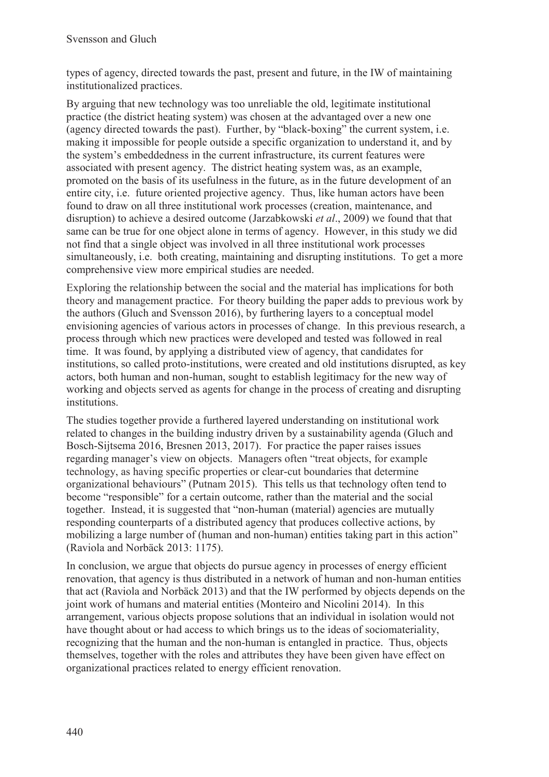types of agency, directed towards the past, present and future, in the IW of maintaining institutionalized practices.

By arguing that new technology was too unreliable the old, legitimate institutional practice (the district heating system) was chosen at the advantaged over a new one (agency directed towards the past). Further, by "black-boxing" the current system, i.e. making it impossible for people outside a specific organization to understand it, and by the system's embeddedness in the current infrastructure, its current features were associated with present agency. The district heating system was, as an example, promoted on the basis of its usefulness in the future, as in the future development of an entire city, i.e. future oriented projective agency. Thus, like human actors have been found to draw on all three institutional work processes (creation, maintenance, and disruption) to achieve a desired outcome (Jarzabkowski *et al*., 2009) we found that that same can be true for one object alone in terms of agency. However, in this study we did not find that a single object was involved in all three institutional work processes simultaneously, i.e. both creating, maintaining and disrupting institutions. To get a more comprehensive view more empirical studies are needed.

Exploring the relationship between the social and the material has implications for both theory and management practice. For theory building the paper adds to previous work by the authors (Gluch and Svensson 2016), by furthering layers to a conceptual model envisioning agencies of various actors in processes of change. In this previous research, a process through which new practices were developed and tested was followed in real time. It was found, by applying a distributed view of agency, that candidates for institutions, so called proto-institutions, were created and old institutions disrupted, as key actors, both human and non-human, sought to establish legitimacy for the new way of working and objects served as agents for change in the process of creating and disrupting institutions.

The studies together provide a furthered layered understanding on institutional work related to changes in the building industry driven by a sustainability agenda (Gluch and Bosch-Sijtsema 2016, Bresnen 2013, 2017). For practice the paper raises issues regarding manager's view on objects. Managers often "treat objects, for example technology, as having specific properties or clear-cut boundaries that determine organizational behaviours" (Putnam 2015). This tells us that technology often tend to become "responsible" for a certain outcome, rather than the material and the social together. Instead, it is suggested that "non-human (material) agencies are mutually responding counterparts of a distributed agency that produces collective actions, by mobilizing a large number of (human and non-human) entities taking part in this action" (Raviola and Norbäck 2013: 1175).

In conclusion, we argue that objects do pursue agency in processes of energy efficient renovation, that agency is thus distributed in a network of human and non-human entities that act (Raviola and Norbäck 2013) and that the IW performed by objects depends on the joint work of humans and material entities (Monteiro and Nicolini 2014). In this arrangement, various objects propose solutions that an individual in isolation would not have thought about or had access to which brings us to the ideas of sociomateriality, recognizing that the human and the non-human is entangled in practice. Thus, objects themselves, together with the roles and attributes they have been given have effect on organizational practices related to energy efficient renovation.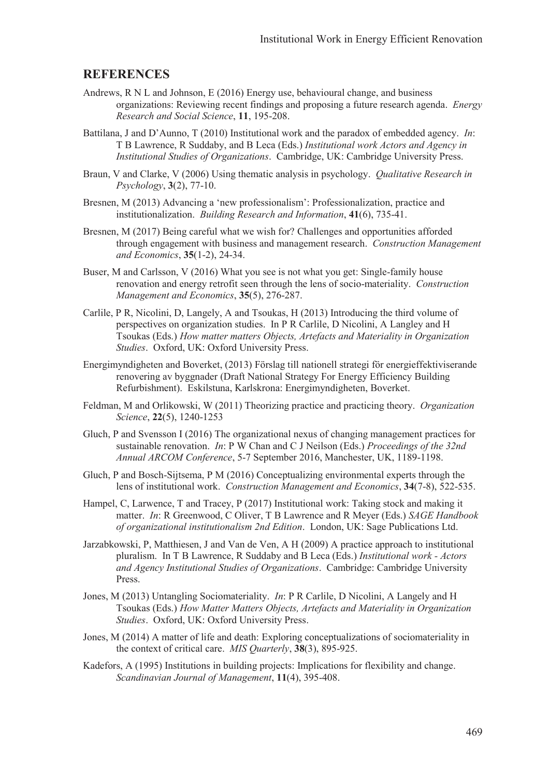#### **REFERENCES**

- Andrews, R N L and Johnson, E (2016) Energy use, behavioural change, and business organizations: Reviewing recent findings and proposing a future research agenda. *Energy Research and Social Science*, **11**, 195-208.
- Battilana, J and D'Aunno, T (2010) Institutional work and the paradox of embedded agency. *In*: T B Lawrence, R Suddaby, and B Leca (Eds.) *Institutional work Actors and Agency in Institutional Studies of Organizations*. Cambridge, UK: Cambridge University Press.
- Braun, V and Clarke, V (2006) Using thematic analysis in psychology. *Qualitative Research in Psychology*, **3**(2), 77-10.
- Bresnen, M (2013) Advancing a 'new professionalism': Professionalization, practice and institutionalization. *Building Research and Information*, **41**(6), 735-41.
- Bresnen, M (2017) Being careful what we wish for? Challenges and opportunities afforded through engagement with business and management research. *Construction Management and Economics*, **35**(1-2), 24-34.
- Buser, M and Carlsson, V (2016) What you see is not what you get: Single-family house renovation and energy retrofit seen through the lens of socio-materiality. *Construction Management and Economics*, **35**(5), 276-287.
- Carlile, P R, Nicolini, D, Langely, A and Tsoukas, H (2013) Introducing the third volume of perspectives on organization studies. In P R Carlile, D Nicolini, A Langley and H Tsoukas (Eds.) *How matter matters Objects, Artefacts and Materiality in Organization Studies*. Oxford, UK: Oxford University Press.
- Energimyndigheten and Boverket, (2013) Förslag till nationell strategi för energieffektiviserande renovering av byggnader (Draft National Strategy For Energy Efficiency Building Refurbishment). Eskilstuna, Karlskrona: Energimyndigheten, Boverket.
- Feldman, M and Orlikowski, W (2011) Theorizing practice and practicing theory. *Organization Science*, **22**(5), 1240-1253
- Gluch, P and Svensson I (2016) The organizational nexus of changing management practices for sustainable renovation. *In*: P W Chan and C J Neilson (Eds.) *Proceedings of the 32nd Annual ARCOM Conference*, 5-7 September 2016, Manchester, UK, 1189-1198.
- Gluch, P and Bosch-Sijtsema, P M (2016) Conceptualizing environmental experts through the lens of institutional work. *Construction Management and Economics*, **34**(7-8), 522-535.
- Hampel, C, Larwence, T and Tracey, P (2017) Institutional work: Taking stock and making it matter. *In*: R Greenwood, C Oliver, T B Lawrence and R Meyer (Eds.) *SAGE Handbook of organizational institutionalism 2nd Edition*. London, UK: Sage Publications Ltd.
- Jarzabkowski, P, Matthiesen, J and Van de Ven, A H (2009) A practice approach to institutional pluralism. In T B Lawrence, R Suddaby and B Leca (Eds.) *Institutional work - Actors and Agency Institutional Studies of Organizations*. Cambridge: Cambridge University Press.
- Jones, M (2013) Untangling Sociomateriality. *In*: P R Carlile, D Nicolini, A Langely and H Tsoukas (Eds.) *How Matter Matters Objects, Artefacts and Materiality in Organization Studies*. Oxford, UK: Oxford University Press.
- Jones, M (2014) A matter of life and death: Exploring conceptualizations of sociomateriality in the context of critical care. *MIS Quarterly*, **38**(3), 895-925.
- Kadefors, A (1995) Institutions in building projects: Implications for flexibility and change. *Scandinavian Journal of Management*, **11**(4), 395-408.